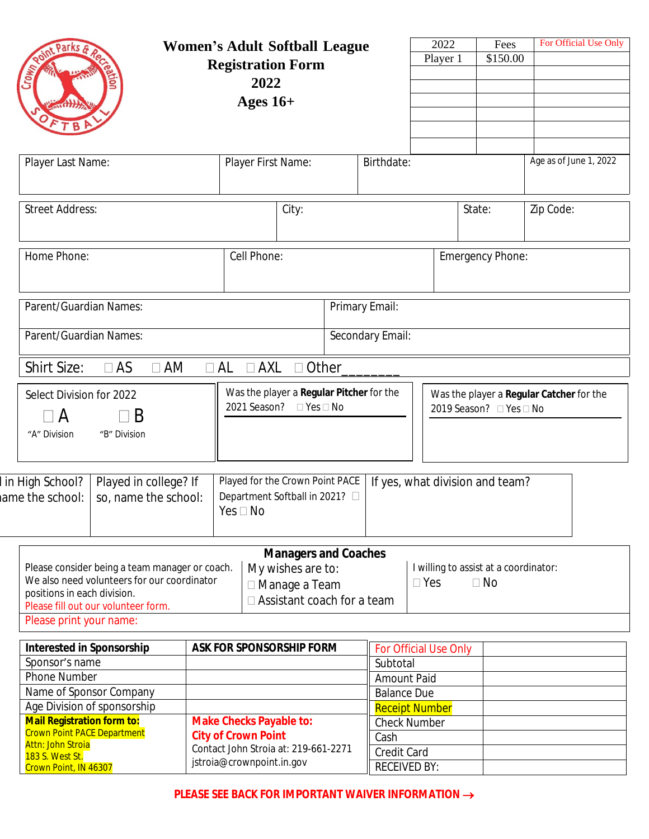| $C_{TOM_{12}}$                                                                                                                                                                                 |                                               | <b>Registration Form</b><br>2022<br>Ages $16+$                                                                        | <b>Women's Adult Softball League</b>                                                                     |                                                      | 2022<br>Player 1                                                    | Fees<br>\$150.00                                   | For Official Use Only  |
|------------------------------------------------------------------------------------------------------------------------------------------------------------------------------------------------|-----------------------------------------------|-----------------------------------------------------------------------------------------------------------------------|----------------------------------------------------------------------------------------------------------|------------------------------------------------------|---------------------------------------------------------------------|----------------------------------------------------|------------------------|
| Player Last Name:                                                                                                                                                                              |                                               | Player First Name:                                                                                                    |                                                                                                          | Birthdate:                                           |                                                                     |                                                    | Age as of June 1, 2022 |
| <b>Street Address:</b>                                                                                                                                                                         |                                               | City:                                                                                                                 |                                                                                                          |                                                      |                                                                     | State:                                             | Zip Code:              |
| Home Phone:                                                                                                                                                                                    |                                               | Cell Phone:                                                                                                           |                                                                                                          | <b>Emergency Phone:</b>                              |                                                                     |                                                    |                        |
| Parent/Guardian Names:                                                                                                                                                                         | Primary Email:                                |                                                                                                                       |                                                                                                          |                                                      |                                                                     |                                                    |                        |
| Parent/Guardian Names:                                                                                                                                                                         | Secondary Email:                              |                                                                                                                       |                                                                                                          |                                                      |                                                                     |                                                    |                        |
| <b>Shirt Size:</b><br>$\Box$ AS                                                                                                                                                                | $\Box$ AM                                     | $\Box$ AXL<br>$\Box$ AL                                                                                               | Other_                                                                                                   |                                                      |                                                                     |                                                    |                        |
| Select Division for 2022<br>B<br>$\overline{A}$<br>"A" Division<br>"B" Division                                                                                                                |                                               | Was the player a Regular Pitcher for the<br>2021 Season?<br>$\Box$ Yes $\Box$ No                                      |                                                                                                          |                                                      | Was the player a Regular Catcher for the<br>2019 Season? □ Yes □ No |                                                    |                        |
| in High School?<br>ame the school:                                                                                                                                                             | Played in college? If<br>so, name the school: | Played for the Crown Point PACE<br>If yes, what division and team?<br>Department Softball in 2021? □<br>$Yes \Box No$ |                                                                                                          |                                                      |                                                                     |                                                    |                        |
| Please consider being a team manager or coach.<br>We also need volunteers for our coordinator<br>positions in each division.<br>Please fill out our volunteer form.<br>Please print your name: |                                               |                                                                                                                       | <b>Managers and Coaches</b><br>My wishes are to:<br>□ Manage a Team<br>$\Box$ Assistant coach for a team |                                                      | $\square$ Yes                                                       | I willing to assist at a coordinator:<br>$\Box$ No |                        |
| <b>Interested in Sponsorship</b><br>Sponsor's name<br><b>Phone Number</b><br>Name of Sponsor Company                                                                                           |                                               |                                                                                                                       | <b>ASK FOR SPONSORSHIP FORM</b>                                                                          | Subtotal<br><b>Amount Paid</b><br><b>Balance Due</b> | For Official Use Only                                               |                                                    |                        |
| Age Division of sponsorship<br><b>Mail Registration form to:</b><br><b>Crown Point PACE Department</b><br>Attn: John Stroia<br>183 S. West St.                                                 |                                               | <b>Make Checks Payable to:</b><br><b>City of Crown Point</b><br>Contact John Stroia at: 219-661-2271                  |                                                                                                          | <b>Check Number</b><br>Cash<br>Credit Card           | <b>Receipt Number</b>                                               |                                                    |                        |

**PLEASE SEE BACK FOR IMPORTANT WAIVER INFORMATION**  $\rightarrow$ 

jstroia@crownpoint.in.gov

183 S. West St. Crown Point, IN 46307

RECEIVED BY: